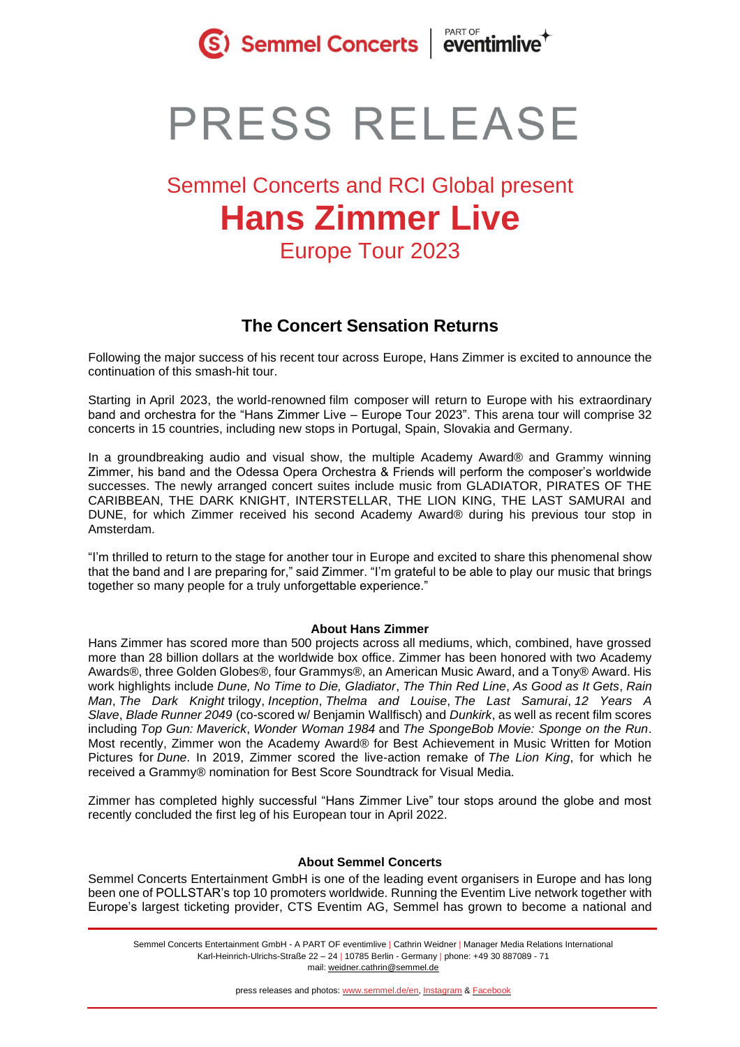



## Semmel Concerts and RCI Global present **Hans Zimmer Live** Europe Tour 2023

### **The Concert Sensation Returns**

Following the major success of his recent tour across Europe, Hans Zimmer is excited to announce the continuation of this smash-hit tour.

Starting in April 2023, the world-renowned film composer will return to Europe with his extraordinary band and orchestra for the "Hans Zimmer Live – Europe Tour 2023". This arena tour will comprise 32 concerts in 15 countries, including new stops in Portugal, Spain, Slovakia and Germany.

In a groundbreaking audio and visual show, the multiple Academy Award® and Grammy winning Zimmer, his band and the Odessa Opera Orchestra & Friends will perform the composer's worldwide successes. The newly arranged concert suites include music from GLADIATOR, PIRATES OF THE CARIBBEAN, THE DARK KNIGHT, INTERSTELLAR, THE LION KING, THE LAST SAMURAI and DUNE, for which Zimmer received his second Academy Award® during his previous tour stop in Amsterdam.

"I'm thrilled to return to the stage for another tour in Europe and excited to share this phenomenal show that the band and I are preparing for," said Zimmer. "I'm grateful to be able to play our music that brings together so many people for a truly unforgettable experience."

### **About Hans Zimmer**

Hans Zimmer has scored more than 500 projects across all mediums, which, combined, have grossed more than 28 billion dollars at the worldwide box office. Zimmer has been honored with two Academy Awards®, three Golden Globes®, four Grammys®, an American Music Award, and a Tony® Award. His work highlights include *Dune, No Time to Die, Gladiator*, *The Thin Red Line*, *As Good as It Gets*, *Rain Man*, *The Dark Knight* trilogy, *Inception*, *Thelma and Louise*, *The Last Samurai*, *12 Years A Slave*, *Blade Runner 2049* (co-scored w/ Benjamin Wallfisch) and *Dunkirk*, as well as recent film scores including *Top Gun: Maverick*, *Wonder Woman 1984* and *The SpongeBob Movie: Sponge on the Run*. Most recently, Zimmer won the Academy Award® for Best Achievement in Music Written for Motion Pictures for *Dune*. In 2019, Zimmer scored the live-action remake of *The Lion King*, for which he received a Grammy® nomination for Best Score Soundtrack for Visual Media.

Zimmer has completed highly successful "Hans Zimmer Live" tour stops around the globe and most recently concluded the first leg of his European tour in April 2022.

### **About Semmel Concerts**

Semmel Concerts Entertainment GmbH is one of the leading event organisers in Europe and has long been one of POLLSTAR's top 10 promoters worldwide. Running the Eventim Live network together with Europe's largest ticketing provider, CTS Eventim AG, Semmel has grown to become a national and

Semmel Concerts Entertainment GmbH - A PART OF eventimlive | Cathrin Weidner | Manager Media Relations International Karl-Heinrich-Ulrichs-Straße 22 – 24 | 10785 Berlin - Germany | phone: +49 30 887089 - 71 mail: [weidner.cathrin@semmel.de](mailto:weidner.cathrin@semmel.de)

press releases and photos: [www.semmel.de/en,](http://www.semmel.de/en) [Instagram](https://www.instagram.com/semmelconcerts/) & [Facebook](https://www.facebook.com/semmelconcerts)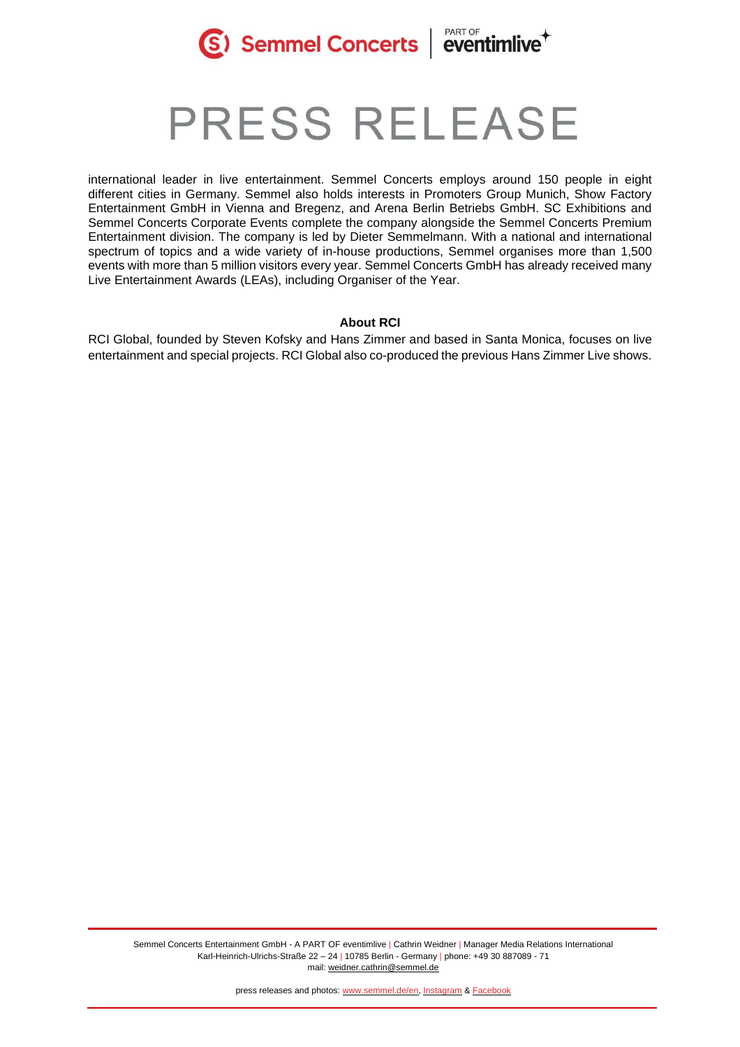

# **PRESS RELEASE**

international leader in live entertainment. Semmel Concerts employs around 150 people in eight different cities in Germany. Semmel also holds interests in Promoters Group Munich, Show Factory Entertainment GmbH in Vienna and Bregenz, and Arena Berlin Betriebs GmbH. SC Exhibitions and Semmel Concerts Corporate Events complete the company alongside the Semmel Concerts Premium Entertainment division. The company is led by Dieter Semmelmann. With a national and international spectrum of topics and a wide variety of in-house productions, Semmel organises more than 1,500 events with more than 5 million visitors every year. Semmel Concerts GmbH has already received many Live Entertainment Awards (LEAs), including Organiser of the Year.

### **About RCI**

RCI Global, founded by Steven Kofsky and Hans Zimmer and based in Santa Monica, focuses on live entertainment and special projects. RCI Global also co-produced the previous Hans Zimmer Live shows.